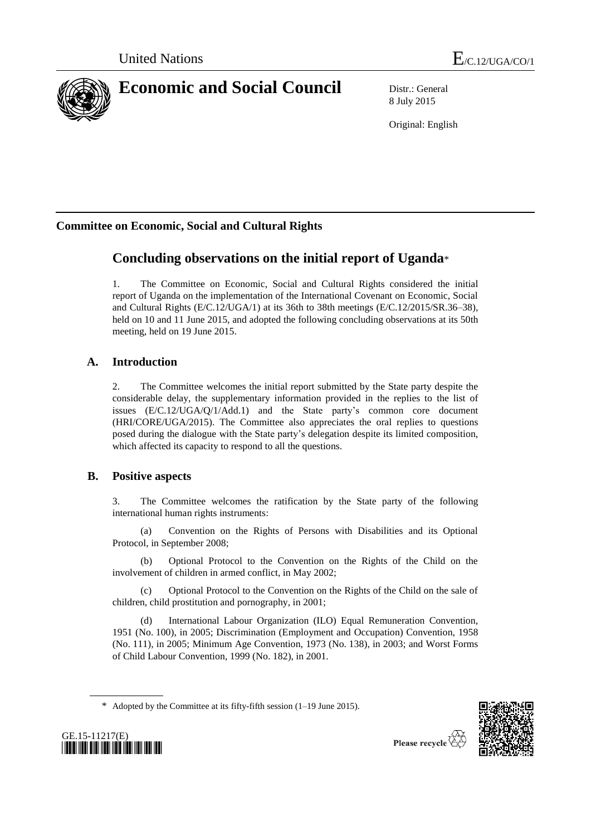

8 July 2015

Original: English

# **Committee on Economic, Social and Cultural Rights**

# **Concluding observations on the initial report of Uganda**\*

1. The Committee on Economic, Social and Cultural Rights considered the initial report of Uganda on the implementation of the International Covenant on Economic, Social and Cultural Rights (E/C.12/UGA/1) at its 36th to 38th meetings (E/C.12/2015/SR.36–38), held on 10 and 11 June 2015, and adopted the following concluding observations at its 50th meeting, held on 19 June 2015.

# **A. Introduction**

2. The Committee welcomes the initial report submitted by the State party despite the considerable delay, the supplementary information provided in the replies to the list of issues (E/C.12/UGA/Q/1/Add.1) and the State party's common core document (HRI/CORE/UGA/2015). The Committee also appreciates the oral replies to questions posed during the dialogue with the State party's delegation despite its limited composition, which affected its capacity to respond to all the questions.

# **B. Positive aspects**

3. The Committee welcomes the ratification by the State party of the following international human rights instruments:

(a) Convention on the Rights of Persons with Disabilities and its Optional Protocol, in September 2008;

(b) Optional Protocol to the Convention on the Rights of the Child on the involvement of children in armed conflict, in May 2002;

(c) Optional Protocol to the Convention on the Rights of the Child on the sale of children, child prostitution and pornography, in 2001;

International Labour Organization (ILO) Equal Remuneration Convention, 1951 (No. 100), in 2005; Discrimination (Employment and Occupation) Convention, 1958 (No. 111), in 2005; Minimum Age Convention, 1973 (No. 138), in 2003; and Worst Forms of Child Labour Convention, 1999 (No. 182), in 2001.



GE.15-11217(E) *\*1511217\**

Please recycle  $\overline{\diamond}$ 

<sup>\*</sup> Adopted by the Committee at its fifty-fifth session (1–19 June 2015).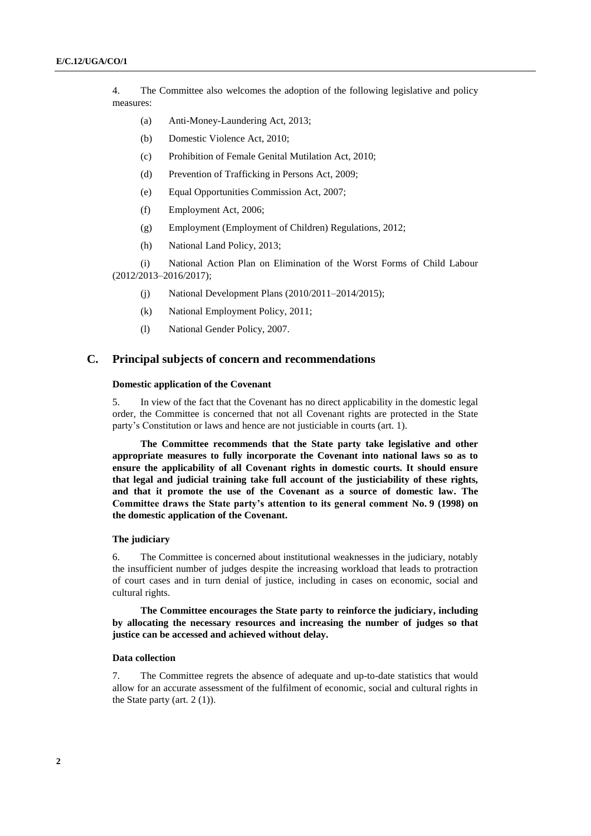4. The Committee also welcomes the adoption of the following legislative and policy measures:

- (a) Anti-Money-Laundering Act, 2013;
- (b) Domestic Violence Act, 2010;
- (c) Prohibition of Female Genital Mutilation Act, 2010;
- (d) Prevention of Trafficking in Persons Act, 2009;
- (e) Equal Opportunities Commission Act, 2007;
- (f) Employment Act, 2006;
- (g) Employment (Employment of Children) Regulations, 2012;
- (h) National Land Policy, 2013;

(i) National Action Plan on Elimination of the Worst Forms of Child Labour (2012/2013–2016/2017);

- (j) National Development Plans (2010/2011–2014/2015);
- (k) National Employment Policy, 2011;
- (l) National Gender Policy, 2007.

# **C. Principal subjects of concern and recommendations**

## **Domestic application of the Covenant**

5. In view of the fact that the Covenant has no direct applicability in the domestic legal order, the Committee is concerned that not all Covenant rights are protected in the State party's Constitution or laws and hence are not justiciable in courts (art. 1).

**The Committee recommends that the State party take legislative and other appropriate measures to fully incorporate the Covenant into national laws so as to ensure the applicability of all Covenant rights in domestic courts. It should ensure that legal and judicial training take full account of the justiciability of these rights, and that it promote the use of the Covenant as a source of domestic law. The Committee draws the State party's attention to its general comment No. 9 (1998) on the domestic application of the Covenant.**

# **The judiciary**

6. The Committee is concerned about institutional weaknesses in the judiciary, notably the insufficient number of judges despite the increasing workload that leads to protraction of court cases and in turn denial of justice, including in cases on economic, social and cultural rights.

**The Committee encourages the State party to reinforce the judiciary, including by allocating the necessary resources and increasing the number of judges so that justice can be accessed and achieved without delay.**

## **Data collection**

7. The Committee regrets the absence of adequate and up-to-date statistics that would allow for an accurate assessment of the fulfilment of economic, social and cultural rights in the State party (art. 2 (1)).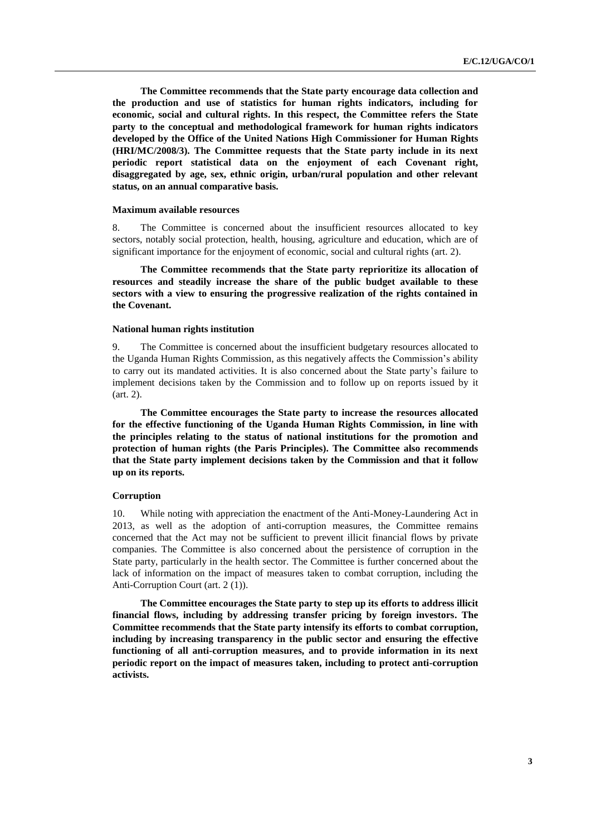**The Committee recommends that the State party encourage data collection and the production and use of statistics for human rights indicators, including for economic, social and cultural rights. In this respect, the Committee refers the State party to the conceptual and methodological framework for human rights indicators developed by the Office of the United Nations High Commissioner for Human Rights (HRI/MC/2008/3). The Committee requests that the State party include in its next periodic report statistical data on the enjoyment of each Covenant right, disaggregated by age, sex, ethnic origin, urban/rural population and other relevant status, on an annual comparative basis.**

## **Maximum available resources**

8. The Committee is concerned about the insufficient resources allocated to key sectors, notably social protection, health, housing, agriculture and education, which are of significant importance for the enjoyment of economic, social and cultural rights (art. 2).

**The Committee recommends that the State party reprioritize its allocation of resources and steadily increase the share of the public budget available to these sectors with a view to ensuring the progressive realization of the rights contained in the Covenant.**

## **National human rights institution**

9. The Committee is concerned about the insufficient budgetary resources allocated to the Uganda Human Rights Commission, as this negatively affects the Commission's ability to carry out its mandated activities. It is also concerned about the State party's failure to implement decisions taken by the Commission and to follow up on reports issued by it (art. 2).

**The Committee encourages the State party to increase the resources allocated for the effective functioning of the Uganda Human Rights Commission, in line with the principles relating to the status of national institutions for the promotion and protection of human rights (the Paris Principles). The Committee also recommends that the State party implement decisions taken by the Commission and that it follow up on its reports.** 

## **Corruption**

10. While noting with appreciation the enactment of the Anti-Money-Laundering Act in 2013, as well as the adoption of anti-corruption measures, the Committee remains concerned that the Act may not be sufficient to prevent illicit financial flows by private companies. The Committee is also concerned about the persistence of corruption in the State party, particularly in the health sector. The Committee is further concerned about the lack of information on the impact of measures taken to combat corruption, including the Anti-Corruption Court (art. 2 (1)).

**The Committee encourages the State party to step up its efforts to address illicit financial flows, including by addressing transfer pricing by foreign investors. The Committee recommends that the State party intensify its efforts to combat corruption, including by increasing transparency in the public sector and ensuring the effective functioning of all anti-corruption measures, and to provide information in its next periodic report on the impact of measures taken, including to protect anti-corruption activists.**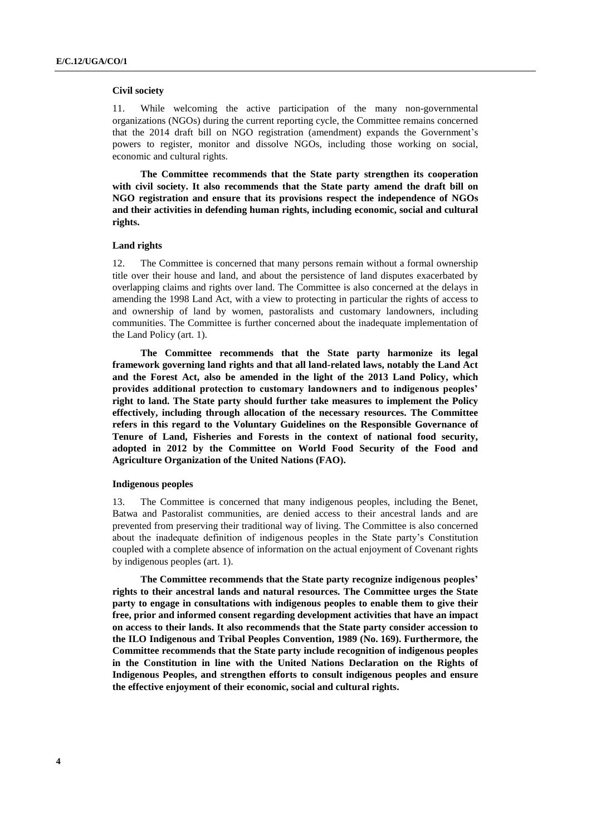## **Civil society**

11. While welcoming the active participation of the many non-governmental organizations (NGOs) during the current reporting cycle, the Committee remains concerned that the 2014 draft bill on NGO registration (amendment) expands the Government's powers to register, monitor and dissolve NGOs, including those working on social, economic and cultural rights.

**The Committee recommends that the State party strengthen its cooperation with civil society. It also recommends that the State party amend the draft bill on NGO registration and ensure that its provisions respect the independence of NGOs and their activities in defending human rights, including economic, social and cultural rights.**

## **Land rights**

12. The Committee is concerned that many persons remain without a formal ownership title over their house and land, and about the persistence of land disputes exacerbated by overlapping claims and rights over land. The Committee is also concerned at the delays in amending the 1998 Land Act, with a view to protecting in particular the rights of access to and ownership of land by women, pastoralists and customary landowners, including communities. The Committee is further concerned about the inadequate implementation of the Land Policy (art. 1).

**The Committee recommends that the State party harmonize its legal framework governing land rights and that all land-related laws, notably the Land Act and the Forest Act, also be amended in the light of the 2013 Land Policy, which provides additional protection to customary landowners and to indigenous peoples' right to land. The State party should further take measures to implement the Policy effectively, including through allocation of the necessary resources. The Committee refers in this regard to the Voluntary Guidelines on the Responsible Governance of Tenure of Land, Fisheries and Forests in the context of national food security, adopted in 2012 by the Committee on World Food Security of the Food and Agriculture Organization of the United Nations (FAO).**

#### **Indigenous peoples**

13. The Committee is concerned that many indigenous peoples, including the Benet, Batwa and Pastoralist communities, are denied access to their ancestral lands and are prevented from preserving their traditional way of living. The Committee is also concerned about the inadequate definition of indigenous peoples in the State party's Constitution coupled with a complete absence of information on the actual enjoyment of Covenant rights by indigenous peoples (art. 1).

**The Committee recommends that the State party recognize indigenous peoples' rights to their ancestral lands and natural resources. The Committee urges the State party to engage in consultations with indigenous peoples to enable them to give their free, prior and informed consent regarding development activities that have an impact on access to their lands. It also recommends that the State party consider accession to the ILO Indigenous and Tribal Peoples Convention, 1989 (No. 169). Furthermore, the Committee recommends that the State party include recognition of indigenous peoples in the Constitution in line with the United Nations Declaration on the Rights of Indigenous Peoples, and strengthen efforts to consult indigenous peoples and ensure the effective enjoyment of their economic, social and cultural rights.**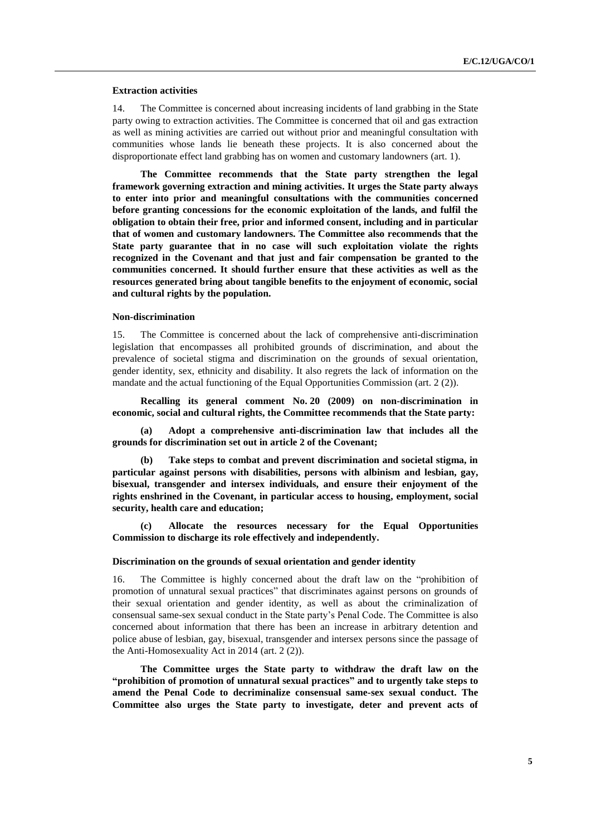## **Extraction activities**

14. The Committee is concerned about increasing incidents of land grabbing in the State party owing to extraction activities. The Committee is concerned that oil and gas extraction as well as mining activities are carried out without prior and meaningful consultation with communities whose lands lie beneath these projects. It is also concerned about the disproportionate effect land grabbing has on women and customary landowners (art. 1).

**The Committee recommends that the State party strengthen the legal framework governing extraction and mining activities. It urges the State party always to enter into prior and meaningful consultations with the communities concerned before granting concessions for the economic exploitation of the lands, and fulfil the obligation to obtain their free, prior and informed consent, including and in particular that of women and customary landowners. The Committee also recommends that the State party guarantee that in no case will such exploitation violate the rights recognized in the Covenant and that just and fair compensation be granted to the communities concerned. It should further ensure that these activities as well as the resources generated bring about tangible benefits to the enjoyment of economic, social and cultural rights by the population.**

#### **Non-discrimination**

15. The Committee is concerned about the lack of comprehensive anti-discrimination legislation that encompasses all prohibited grounds of discrimination, and about the prevalence of societal stigma and discrimination on the grounds of sexual orientation, gender identity, sex, ethnicity and disability. It also regrets the lack of information on the mandate and the actual functioning of the Equal Opportunities Commission (art. 2 (2)).

**Recalling its general comment No. 20 (2009) on non-discrimination in economic, social and cultural rights, the Committee recommends that the State party:**

**(a) Adopt a comprehensive anti-discrimination law that includes all the grounds for discrimination set out in article 2 of the Covenant;**

**(b) Take steps to combat and prevent discrimination and societal stigma, in particular against persons with disabilities, persons with albinism and lesbian, gay, bisexual, transgender and intersex individuals, and ensure their enjoyment of the rights enshrined in the Covenant, in particular access to housing, employment, social security, health care and education;** 

**(c) Allocate the resources necessary for the Equal Opportunities Commission to discharge its role effectively and independently.**

## **Discrimination on the grounds of sexual orientation and gender identity**

16. The Committee is highly concerned about the draft law on the "prohibition of promotion of unnatural sexual practices" that discriminates against persons on grounds of their sexual orientation and gender identity, as well as about the criminalization of consensual same-sex sexual conduct in the State party's Penal Code. The Committee is also concerned about information that there has been an increase in arbitrary detention and police abuse of lesbian, gay, bisexual, transgender and intersex persons since the passage of the Anti-Homosexuality Act in 2014 (art. 2 (2)).

**The Committee urges the State party to withdraw the draft law on the "prohibition of promotion of unnatural sexual practices" and to urgently take steps to amend the Penal Code to decriminalize consensual same-sex sexual conduct. The Committee also urges the State party to investigate, deter and prevent acts of**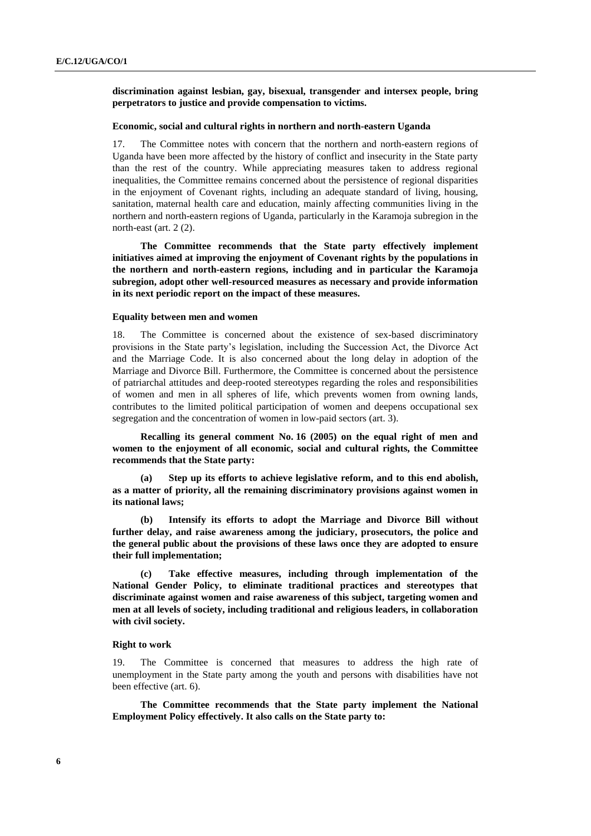**discrimination against lesbian, gay, bisexual, transgender and intersex people, bring perpetrators to justice and provide compensation to victims.**

## **Economic, social and cultural rights in northern and north-eastern Uganda**

17. The Committee notes with concern that the northern and north-eastern regions of Uganda have been more affected by the history of conflict and insecurity in the State party than the rest of the country. While appreciating measures taken to address regional inequalities, the Committee remains concerned about the persistence of regional disparities in the enjoyment of Covenant rights, including an adequate standard of living, housing, sanitation, maternal health care and education, mainly affecting communities living in the northern and north-eastern regions of Uganda, particularly in the Karamoja subregion in the north-east (art. 2 (2).

**The Committee recommends that the State party effectively implement initiatives aimed at improving the enjoyment of Covenant rights by the populations in the northern and north-eastern regions, including and in particular the Karamoja subregion, adopt other well-resourced measures as necessary and provide information in its next periodic report on the impact of these measures.**

#### **Equality between men and women**

18. The Committee is concerned about the existence of sex-based discriminatory provisions in the State party's legislation, including the Succession Act, the Divorce Act and the Marriage Code. It is also concerned about the long delay in adoption of the Marriage and Divorce Bill. Furthermore, the Committee is concerned about the persistence of patriarchal attitudes and deep-rooted stereotypes regarding the roles and responsibilities of women and men in all spheres of life, which prevents women from owning lands, contributes to the limited political participation of women and deepens occupational sex segregation and the concentration of women in low-paid sectors (art. 3).

**Recalling its general comment No. 16 (2005) on the equal right of men and women to the enjoyment of all economic, social and cultural rights, the Committee recommends that the State party:**

**(a) Step up its efforts to achieve legislative reform, and to this end abolish, as a matter of priority, all the remaining discriminatory provisions against women in its national laws;**

**(b) Intensify its efforts to adopt the Marriage and Divorce Bill without further delay, and raise awareness among the judiciary, prosecutors, the police and the general public about the provisions of these laws once they are adopted to ensure their full implementation;**

**(c) Take effective measures, including through implementation of the National Gender Policy, to eliminate traditional practices and stereotypes that discriminate against women and raise awareness of this subject, targeting women and men at all levels of society, including traditional and religious leaders, in collaboration with civil society.**

## **Right to work**

19. The Committee is concerned that measures to address the high rate of unemployment in the State party among the youth and persons with disabilities have not been effective (art. 6).

**The Committee recommends that the State party implement the National Employment Policy effectively. It also calls on the State party to:**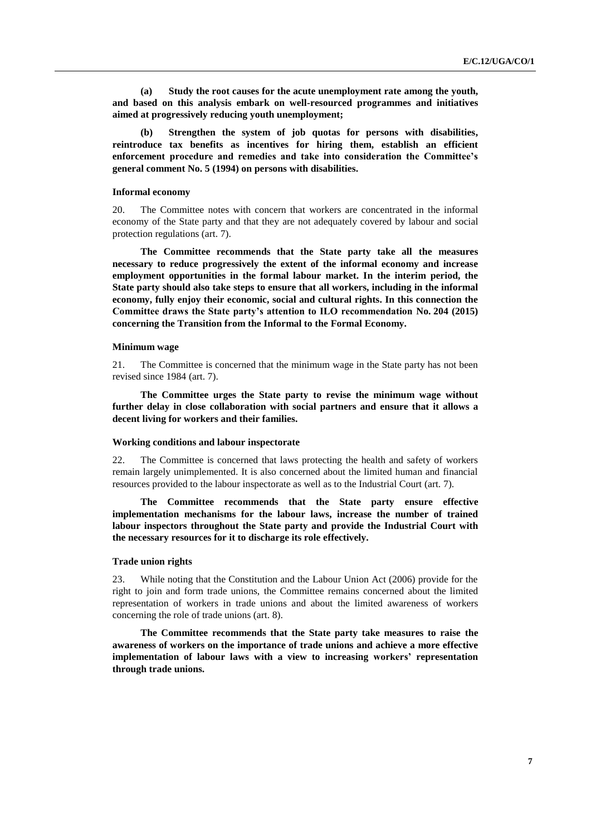**(a) Study the root causes for the acute unemployment rate among the youth, and based on this analysis embark on well-resourced programmes and initiatives aimed at progressively reducing youth unemployment;** 

**(b) Strengthen the system of job quotas for persons with disabilities, reintroduce tax benefits as incentives for hiring them, establish an efficient enforcement procedure and remedies and take into consideration the Committee's general comment No. 5 (1994) on persons with disabilities.**

## **Informal economy**

20. The Committee notes with concern that workers are concentrated in the informal economy of the State party and that they are not adequately covered by labour and social protection regulations (art. 7).

**The Committee recommends that the State party take all the measures necessary to reduce progressively the extent of the informal economy and increase employment opportunities in the formal labour market. In the interim period, the State party should also take steps to ensure that all workers, including in the informal economy, fully enjoy their economic, social and cultural rights. In this connection the Committee draws the State party's attention to ILO recommendation No. 204 (2015) concerning the Transition from the Informal to the Formal Economy.**

### **Minimum wage**

21. The Committee is concerned that the minimum wage in the State party has not been revised since 1984 (art. 7).

**The Committee urges the State party to revise the minimum wage without further delay in close collaboration with social partners and ensure that it allows a decent living for workers and their families.**

## **Working conditions and labour inspectorate**

22. The Committee is concerned that laws protecting the health and safety of workers remain largely unimplemented. It is also concerned about the limited human and financial resources provided to the labour inspectorate as well as to the Industrial Court (art. 7).

**The Committee recommends that the State party ensure effective implementation mechanisms for the labour laws, increase the number of trained labour inspectors throughout the State party and provide the Industrial Court with the necessary resources for it to discharge its role effectively.**

## **Trade union rights**

23. While noting that the Constitution and the Labour Union Act (2006) provide for the right to join and form trade unions, the Committee remains concerned about the limited representation of workers in trade unions and about the limited awareness of workers concerning the role of trade unions (art. 8).

**The Committee recommends that the State party take measures to raise the awareness of workers on the importance of trade unions and achieve a more effective implementation of labour laws with a view to increasing workers' representation through trade unions.**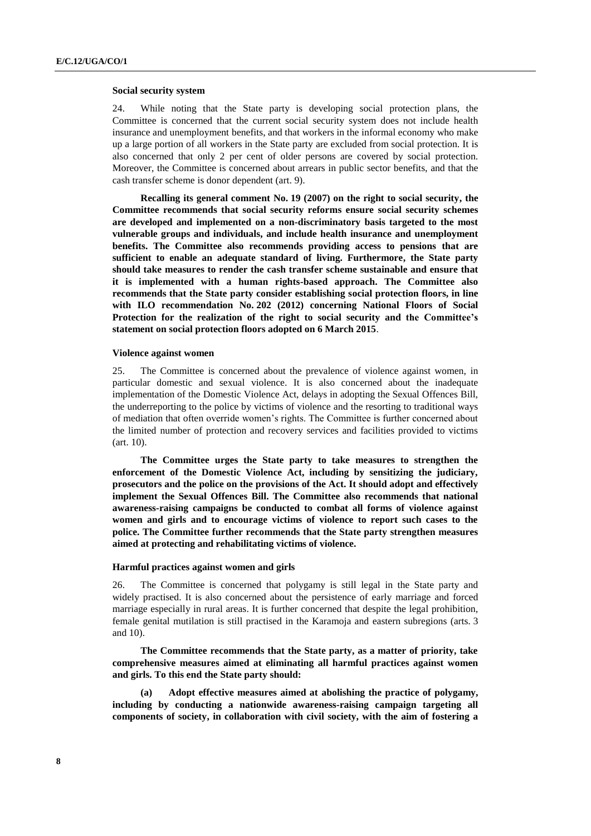### **Social security system**

24. While noting that the State party is developing social protection plans, the Committee is concerned that the current social security system does not include health insurance and unemployment benefits, and that workers in the informal economy who make up a large portion of all workers in the State party are excluded from social protection. It is also concerned that only 2 per cent of older persons are covered by social protection. Moreover, the Committee is concerned about arrears in public sector benefits, and that the cash transfer scheme is donor dependent (art. 9).

**Recalling its general comment No. 19 (2007) on the right to social security, the Committee recommends that social security reforms ensure social security schemes are developed and implemented on a non-discriminatory basis targeted to the most vulnerable groups and individuals, and include health insurance and unemployment benefits. The Committee also recommends providing access to pensions that are sufficient to enable an adequate standard of living. Furthermore, the State party should take measures to render the cash transfer scheme sustainable and ensure that it is implemented with a human rights-based approach. The Committee also recommends that the State party consider establishing social protection floors, in line with ILO recommendation No. 202 (2012) concerning National Floors of Social Protection for the realization of the right to social security and the Committee's statement on social protection floors adopted on 6 March 2015**.

## **Violence against women**

25. The Committee is concerned about the prevalence of violence against women, in particular domestic and sexual violence. It is also concerned about the inadequate implementation of the Domestic Violence Act, delays in adopting the Sexual Offences Bill, the underreporting to the police by victims of violence and the resorting to traditional ways of mediation that often override women's rights. The Committee is further concerned about the limited number of protection and recovery services and facilities provided to victims (art. 10).

**The Committee urges the State party to take measures to strengthen the enforcement of the Domestic Violence Act, including by sensitizing the judiciary, prosecutors and the police on the provisions of the Act. It should adopt and effectively implement the Sexual Offences Bill. The Committee also recommends that national awareness-raising campaigns be conducted to combat all forms of violence against women and girls and to encourage victims of violence to report such cases to the police. The Committee further recommends that the State party strengthen measures aimed at protecting and rehabilitating victims of violence.** 

#### **Harmful practices against women and girls**

26. The Committee is concerned that polygamy is still legal in the State party and widely practised. It is also concerned about the persistence of early marriage and forced marriage especially in rural areas. It is further concerned that despite the legal prohibition, female genital mutilation is still practised in the Karamoja and eastern subregions (arts. 3 and 10).

**The Committee recommends that the State party, as a matter of priority, take comprehensive measures aimed at eliminating all harmful practices against women and girls. To this end the State party should:**

**(a) Adopt effective measures aimed at abolishing the practice of polygamy, including by conducting a nationwide awareness-raising campaign targeting all components of society, in collaboration with civil society, with the aim of fostering a**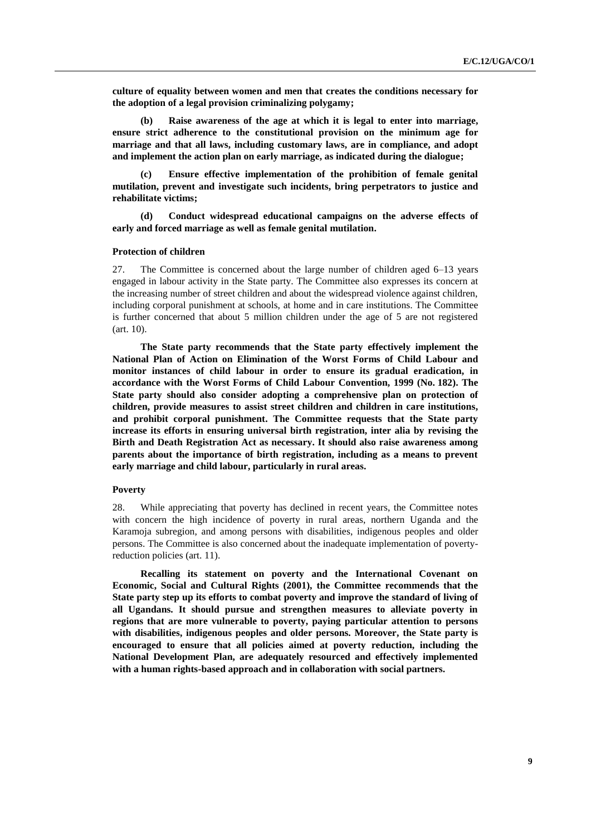**culture of equality between women and men that creates the conditions necessary for the adoption of a legal provision criminalizing polygamy;**

**(b) Raise awareness of the age at which it is legal to enter into marriage, ensure strict adherence to the constitutional provision on the minimum age for marriage and that all laws, including customary laws, are in compliance, and adopt and implement the action plan on early marriage, as indicated during the dialogue;** 

**(c) Ensure effective implementation of the prohibition of female genital mutilation, prevent and investigate such incidents, bring perpetrators to justice and rehabilitate victims;**

**(d) Conduct widespread educational campaigns on the adverse effects of early and forced marriage as well as female genital mutilation.**

## **Protection of children**

27. The Committee is concerned about the large number of children aged 6–13 years engaged in labour activity in the State party. The Committee also expresses its concern at the increasing number of street children and about the widespread violence against children, including corporal punishment at schools, at home and in care institutions. The Committee is further concerned that about 5 million children under the age of 5 are not registered (art. 10).

**The State party recommends that the State party effectively implement the National Plan of Action on Elimination of the Worst Forms of Child Labour and monitor instances of child labour in order to ensure its gradual eradication, in accordance with the Worst Forms of Child Labour Convention, 1999 (No. 182). The State party should also consider adopting a comprehensive plan on protection of children, provide measures to assist street children and children in care institutions, and prohibit corporal punishment. The Committee requests that the State party increase its efforts in ensuring universal birth registration, inter alia by revising the Birth and Death Registration Act as necessary. It should also raise awareness among parents about the importance of birth registration, including as a means to prevent early marriage and child labour, particularly in rural areas.**

### **Poverty**

28. While appreciating that poverty has declined in recent years, the Committee notes with concern the high incidence of poverty in rural areas, northern Uganda and the Karamoja subregion, and among persons with disabilities, indigenous peoples and older persons. The Committee is also concerned about the inadequate implementation of povertyreduction policies (art. 11).

**Recalling its statement on poverty and the International Covenant on Economic, Social and Cultural Rights (2001), the Committee recommends that the State party step up its efforts to combat poverty and improve the standard of living of all Ugandans. It should pursue and strengthen measures to alleviate poverty in regions that are more vulnerable to poverty, paying particular attention to persons with disabilities, indigenous peoples and older persons. Moreover, the State party is encouraged to ensure that all policies aimed at poverty reduction, including the National Development Plan, are adequately resourced and effectively implemented with a human rights-based approach and in collaboration with social partners.**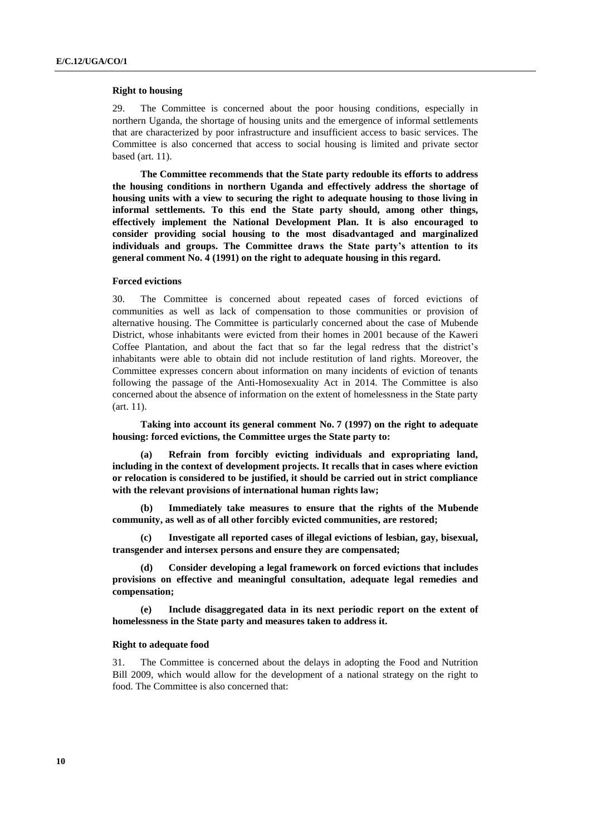## **Right to housing**

29. The Committee is concerned about the poor housing conditions, especially in northern Uganda, the shortage of housing units and the emergence of informal settlements that are characterized by poor infrastructure and insufficient access to basic services. The Committee is also concerned that access to social housing is limited and private sector based (art. 11).

**The Committee recommends that the State party redouble its efforts to address the housing conditions in northern Uganda and effectively address the shortage of housing units with a view to securing the right to adequate housing to those living in informal settlements. To this end the State party should, among other things, effectively implement the National Development Plan. It is also encouraged to consider providing social housing to the most disadvantaged and marginalized individuals and groups. The Committee draws the State party's attention to its general comment No. 4 (1991) on the right to adequate housing in this regard.**

### **Forced evictions**

30. The Committee is concerned about repeated cases of forced evictions of communities as well as lack of compensation to those communities or provision of alternative housing. The Committee is particularly concerned about the case of Mubende District, whose inhabitants were evicted from their homes in 2001 because of the Kaweri Coffee Plantation, and about the fact that so far the legal redress that the district's inhabitants were able to obtain did not include restitution of land rights. Moreover, the Committee expresses concern about information on many incidents of eviction of tenants following the passage of the Anti-Homosexuality Act in 2014. The Committee is also concerned about the absence of information on the extent of homelessness in the State party (art. 11).

**Taking into account its general comment No. 7 (1997) on the right to adequate housing: forced evictions, the Committee urges the State party to:**

**(a) Refrain from forcibly evicting individuals and expropriating land, including in the context of development projects. It recalls that in cases where eviction or relocation is considered to be justified, it should be carried out in strict compliance with the relevant provisions of international human rights law;**

**(b) Immediately take measures to ensure that the rights of the Mubende community, as well as of all other forcibly evicted communities, are restored;**

**(c) Investigate all reported cases of illegal evictions of lesbian, gay, bisexual, transgender and intersex persons and ensure they are compensated;**

**(d) Consider developing a legal framework on forced evictions that includes provisions on effective and meaningful consultation, adequate legal remedies and compensation;**

**(e) Include disaggregated data in its next periodic report on the extent of homelessness in the State party and measures taken to address it.** 

## **Right to adequate food**

31. The Committee is concerned about the delays in adopting the Food and Nutrition Bill 2009, which would allow for the development of a national strategy on the right to food. The Committee is also concerned that: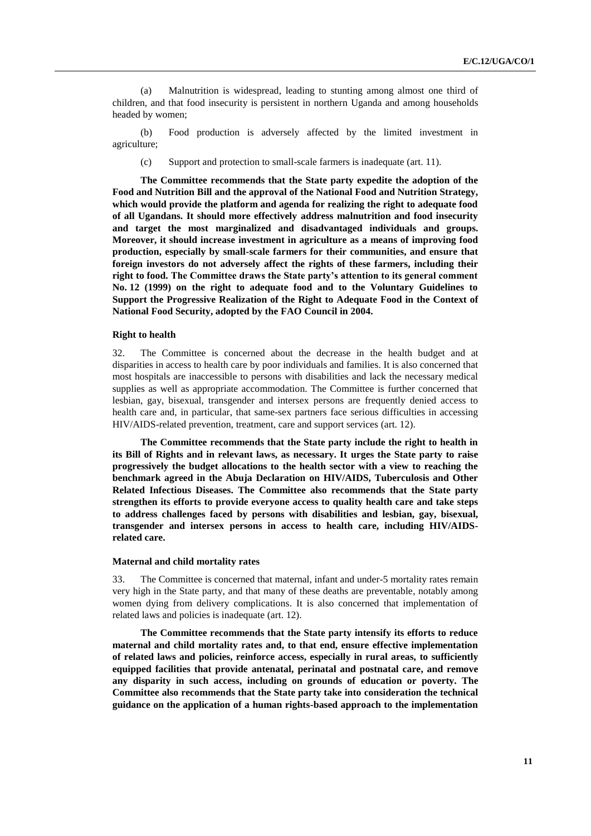(a) Malnutrition is widespread, leading to stunting among almost one third of children, and that food insecurity is persistent in northern Uganda and among households headed by women;

(b) Food production is adversely affected by the limited investment in agriculture;

(c) Support and protection to small-scale farmers is inadequate (art. 11).

**The Committee recommends that the State party expedite the adoption of the Food and Nutrition Bill and the approval of the National Food and Nutrition Strategy, which would provide the platform and agenda for realizing the right to adequate food of all Ugandans. It should more effectively address malnutrition and food insecurity and target the most marginalized and disadvantaged individuals and groups. Moreover, it should increase investment in agriculture as a means of improving food production, especially by small-scale farmers for their communities, and ensure that foreign investors do not adversely affect the rights of these farmers, including their right to food. The Committee draws the State party's attention to its general comment No. 12 (1999) on the right to adequate food and to the Voluntary Guidelines to Support the Progressive Realization of the Right to Adequate Food in the Context of National Food Security, adopted by the FAO Council in 2004.**

## **Right to health**

32. The Committee is concerned about the decrease in the health budget and at disparities in access to health care by poor individuals and families. It is also concerned that most hospitals are inaccessible to persons with disabilities and lack the necessary medical supplies as well as appropriate accommodation. The Committee is further concerned that lesbian, gay, bisexual, transgender and intersex persons are frequently denied access to health care and, in particular, that same-sex partners face serious difficulties in accessing HIV/AIDS-related prevention, treatment, care and support services (art. 12).

**The Committee recommends that the State party include the right to health in its Bill of Rights and in relevant laws, as necessary. It urges the State party to raise progressively the budget allocations to the health sector with a view to reaching the benchmark agreed in the Abuja Declaration on HIV/AIDS, Tuberculosis and Other Related Infectious Diseases. The Committee also recommends that the State party strengthen its efforts to provide everyone access to quality health care and take steps to address challenges faced by persons with disabilities and lesbian, gay, bisexual, transgender and intersex persons in access to health care, including HIV/AIDSrelated care.**

#### **Maternal and child mortality rates**

33. The Committee is concerned that maternal, infant and under-5 mortality rates remain very high in the State party, and that many of these deaths are preventable, notably among women dying from delivery complications. It is also concerned that implementation of related laws and policies is inadequate (art. 12).

**The Committee recommends that the State party intensify its efforts to reduce maternal and child mortality rates and, to that end, ensure effective implementation of related laws and policies, reinforce access, especially in rural areas, to sufficiently equipped facilities that provide antenatal, perinatal and postnatal care, and remove any disparity in such access, including on grounds of education or poverty. The Committee also recommends that the State party take into consideration the technical guidance on the application of a human rights-based approach to the implementation**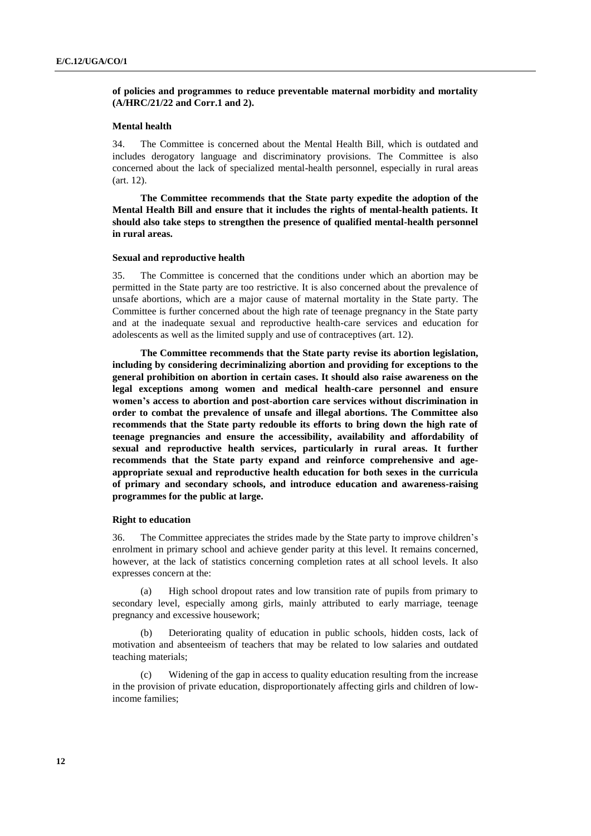## **of policies and programmes to reduce preventable maternal morbidity and mortality (A/HRC/21/22 and Corr.1 and 2).**

## **Mental health**

34. The Committee is concerned about the Mental Health Bill, which is outdated and includes derogatory language and discriminatory provisions. The Committee is also concerned about the lack of specialized mental-health personnel, especially in rural areas (art. 12).

**The Committee recommends that the State party expedite the adoption of the Mental Health Bill and ensure that it includes the rights of mental-health patients. It should also take steps to strengthen the presence of qualified mental-health personnel in rural areas.**

#### **Sexual and reproductive health**

35. The Committee is concerned that the conditions under which an abortion may be permitted in the State party are too restrictive. It is also concerned about the prevalence of unsafe abortions, which are a major cause of maternal mortality in the State party. The Committee is further concerned about the high rate of teenage pregnancy in the State party and at the inadequate sexual and reproductive health-care services and education for adolescents as well as the limited supply and use of contraceptives (art. 12).

**The Committee recommends that the State party revise its abortion legislation, including by considering decriminalizing abortion and providing for exceptions to the general prohibition on abortion in certain cases. It should also raise awareness on the legal exceptions among women and medical health-care personnel and ensure women's access to abortion and post-abortion care services without discrimination in order to combat the prevalence of unsafe and illegal abortions. The Committee also recommends that the State party redouble its efforts to bring down the high rate of teenage pregnancies and ensure the accessibility, availability and affordability of sexual and reproductive health services, particularly in rural areas. It further recommends that the State party expand and reinforce comprehensive and ageappropriate sexual and reproductive health education for both sexes in the curricula of primary and secondary schools, and introduce education and awareness-raising programmes for the public at large.** 

## **Right to education**

36. The Committee appreciates the strides made by the State party to improve children's enrolment in primary school and achieve gender parity at this level. It remains concerned, however, at the lack of statistics concerning completion rates at all school levels. It also expresses concern at the:

(a) High school dropout rates and low transition rate of pupils from primary to secondary level, especially among girls, mainly attributed to early marriage, teenage pregnancy and excessive housework;

(b) Deteriorating quality of education in public schools, hidden costs, lack of motivation and absenteeism of teachers that may be related to low salaries and outdated teaching materials;

(c) Widening of the gap in access to quality education resulting from the increase in the provision of private education, disproportionately affecting girls and children of lowincome families;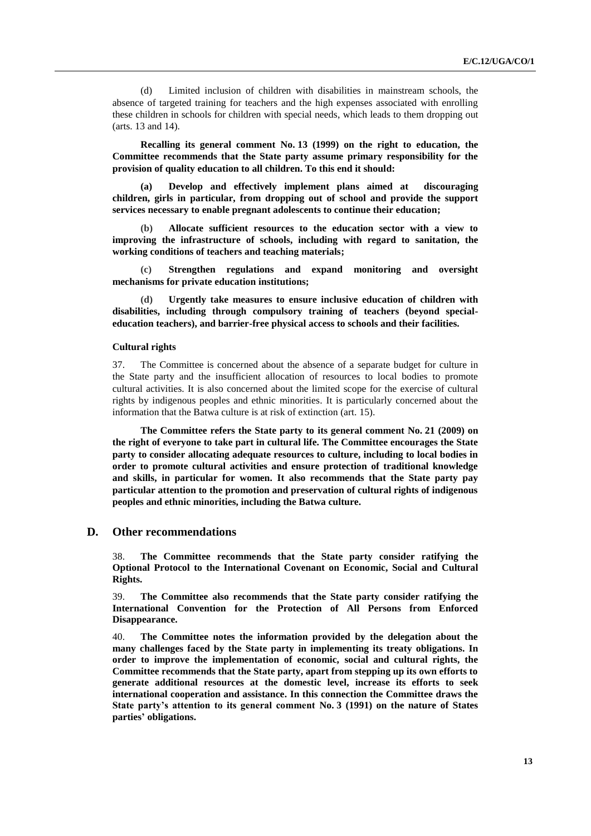(d) Limited inclusion of children with disabilities in mainstream schools, the absence of targeted training for teachers and the high expenses associated with enrolling these children in schools for children with special needs, which leads to them dropping out (arts. 13 and 14).

**Recalling its general comment No. 13 (1999) on the right to education, the Committee recommends that the State party assume primary responsibility for the provision of quality education to all children. To this end it should:**

**(a) Develop and effectively implement plans aimed at discouraging children, girls in particular, from dropping out of school and provide the support services necessary to enable pregnant adolescents to continue their education;**

**(b) Allocate sufficient resources to the education sector with a view to improving the infrastructure of schools, including with regard to sanitation, the working conditions of teachers and teaching materials;**

**(c) Strengthen regulations and expand monitoring and oversight mechanisms for private education institutions;** 

**(d) Urgently take measures to ensure inclusive education of children with disabilities, including through compulsory training of teachers (beyond specialeducation teachers), and barrier-free physical access to schools and their facilities.**

## **Cultural rights**

37. The Committee is concerned about the absence of a separate budget for culture in the State party and the insufficient allocation of resources to local bodies to promote cultural activities. It is also concerned about the limited scope for the exercise of cultural rights by indigenous peoples and ethnic minorities. It is particularly concerned about the information that the Batwa culture is at risk of extinction (art. 15).

**The Committee refers the State party to its general comment No. 21 (2009) on the right of everyone to take part in cultural life. The Committee encourages the State party to consider allocating adequate resources to culture, including to local bodies in order to promote cultural activities and ensure protection of traditional knowledge and skills, in particular for women. It also recommends that the State party pay particular attention to the promotion and preservation of cultural rights of indigenous peoples and ethnic minorities, including the Batwa culture.**

## **D. Other recommendations**

38. **The Committee recommends that the State party consider ratifying the Optional Protocol to the International Covenant on Economic, Social and Cultural Rights.**

39. **The Committee also recommends that the State party consider ratifying the International Convention for the Protection of All Persons from Enforced Disappearance.**

40. **The Committee notes the information provided by the delegation about the many challenges faced by the State party in implementing its treaty obligations. In order to improve the implementation of economic, social and cultural rights, the Committee recommends that the State party, apart from stepping up its own efforts to generate additional resources at the domestic level, increase its efforts to seek international cooperation and assistance. In this connection the Committee draws the State party's attention to its general comment No. 3 (1991) on the nature of States parties' obligations.**